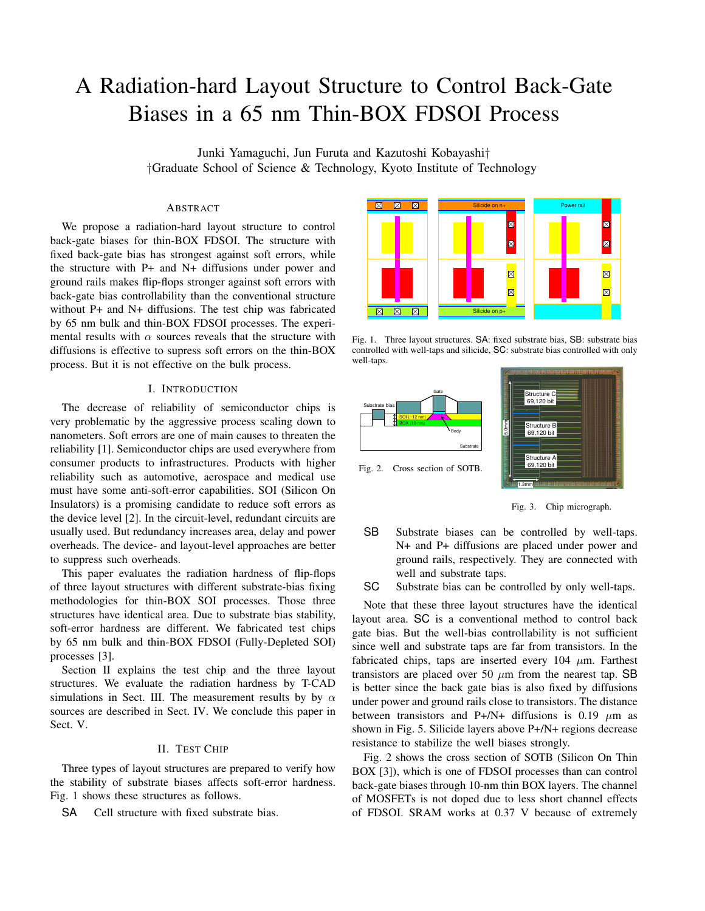# A Radiation-hard Layout Structure to Control Back-Gate Biases in a 65 nm Thin-BOX FDSOI Process

Junki Yamaguchi, Jun Furuta and Kazutoshi Kobayashi*† †*Graduate School of Science & Technology, Kyoto Institute of Technology

## ABSTRACT

We propose a radiation-hard layout structure to control back-gate biases for thin-BOX FDSOI. The structure with fixed back-gate bias has strongest against soft errors, while the structure with P+ and N+ diffusions under power and ground rails makes flip-flops stronger against soft errors with back-gate bias controllability than the conventional structure without P+ and N+ diffusions. The test chip was fabricated by 65 nm bulk and thin-BOX FDSOI processes. The experimental results with  $\alpha$  sources reveals that the structure with diffusions is effective to supress soft errors on the thin-BOX process. But it is not effective on the bulk process.

## I. INTRODUCTION

The decrease of reliability of semiconductor chips is very problematic by the aggressive process scaling down to nanometers. Soft errors are one of main causes to threaten the reliability [1]. Semiconductor chips are used everywhere from consumer products to infrastructures. Products with higher reliability such as automotive, aerospace and medical use must have some anti-soft-error capabilities. SOI (Silicon On Insulators) is a promising candidate to reduce soft errors as the device level [2]. In the circuit-level, redundant circuits are usually used. But redundancy increases area, delay and power overheads. The device- and layout-level approaches are better to suppress such overheads.

This paper evaluates the radiation hardness of flip-flops of three layout structures with different substrate-bias fixing methodologies for thin-BOX SOI processes. Those three structures have identical area. Due to substrate bias stability, soft-error hardness are different. We fabricated test chips by 65 nm bulk and thin-BOX FDSOI (Fully-Depleted SOI) processes [3].

Section II explains the test chip and the three layout structures. We evaluate the radiation hardness by T-CAD simulations in Sect. III. The measurement results by by *α* sources are described in Sect. IV. We conclude this paper in Sect. V.

## II. TEST CHIP

Three types of layout structures are prepared to verify how the stability of substrate biases affects soft-error hardness. Fig. 1 shows these structures as follows.

SA Cell structure with fixed substrate bias.



Fig. 1. Three layout structures. SA: fixed substrate bias, SB: substrate bias controlled with well-taps and silicide, SC: substrate bias controlled with only well-taps.



Fig. 3. Chip micrograph.

SB Substrate biases can be controlled by well-taps. N+ and P+ diffusions are placed under power and ground rails, respectively. They are connected with well and substrate taps.

SC Substrate bias can be controlled by only well-taps.

Note that these three layout structures have the identical layout area. SC is a conventional method to control back gate bias. But the well-bias controllability is not sufficient since well and substrate taps are far from transistors. In the fabricated chips, taps are inserted every  $104 \mu m$ . Farthest transistors are placed over 50 *µ*m from the nearest tap. SB is better since the back gate bias is also fixed by diffusions under power and ground rails close to transistors. The distance between transistors and P+/N+ diffusions is 0.19  $\mu$ m as shown in Fig. 5. Silicide layers above P+/N+ regions decrease resistance to stabilize the well biases strongly.

Fig. 2 shows the cross section of SOTB (Silicon On Thin BOX [3]), which is one of FDSOI processes than can control back-gate biases through 10-nm thin BOX layers. The channel of MOSFETs is not doped due to less short channel effects of FDSOI. SRAM works at 0.37 V because of extremely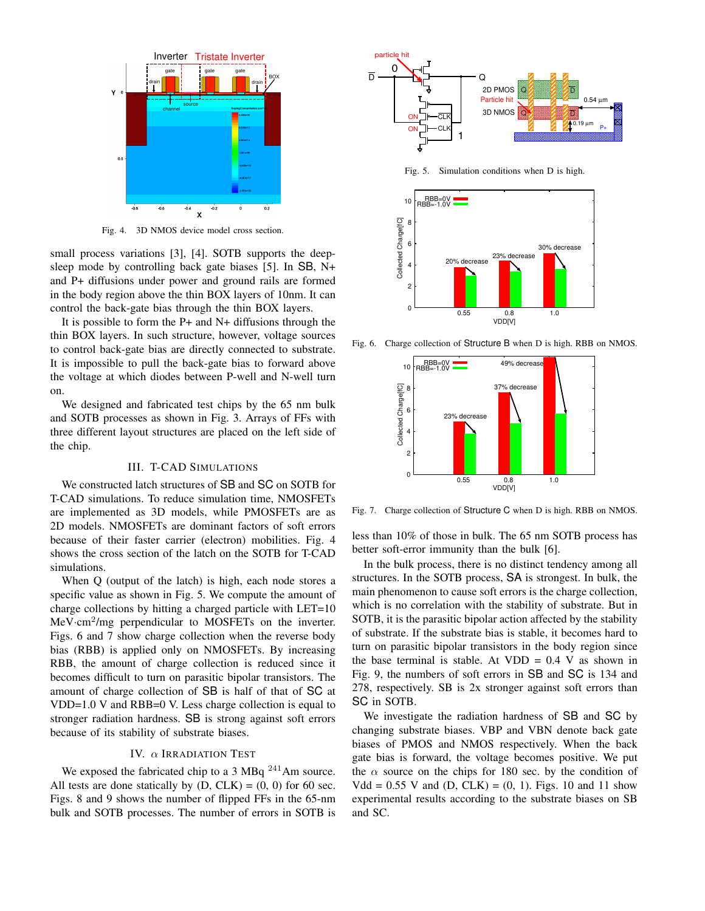

Fig. 4. 3D NMOS device model cross section.

small process variations [3], [4]. SOTB supports the deepsleep mode by controlling back gate biases [5]. In SB, N+ and P+ diffusions under power and ground rails are formed in the body region above the thin BOX layers of 10nm. It can control the back-gate bias through the thin BOX layers.

It is possible to form the P+ and N+ diffusions through the thin BOX layers. In such structure, however, voltage sources to control back-gate bias are directly connected to substrate. It is impossible to pull the back-gate bias to forward above the voltage at which diodes between P-well and N-well turn on.

We designed and fabricated test chips by the 65 nm bulk and SOTB processes as shown in Fig. 3. Arrays of FFs with three different layout structures are placed on the left side of the chip.

#### III. T-CAD SIMULATIONS

We constructed latch structures of SB and SC on SOTB for T-CAD simulations. To reduce simulation time, NMOSFETs are implemented as 3D models, while PMOSFETs are as 2D models. NMOSFETs are dominant factors of soft errors because of their faster carrier (electron) mobilities. Fig. 4 shows the cross section of the latch on the SOTB for T-CAD simulations.

When Q (output of the latch) is high, each node stores a specific value as shown in Fig. 5. We compute the amount of charge collections by hitting a charged particle with LET=10 MeV·cm<sup>2</sup>/mg perpendicular to MOSFETs on the inverter. Figs. 6 and 7 show charge collection when the reverse body bias (RBB) is applied only on NMOSFETs. By increasing RBB, the amount of charge collection is reduced since it becomes difficult to turn on parasitic bipolar transistors. The amount of charge collection of SB is half of that of SC at VDD=1.0 V and RBB=0 V. Less charge collection is equal to stronger radiation hardness. SB is strong against soft errors because of its stability of substrate biases.

#### IV. *α* IRRADIATION TEST

We exposed the fabricated chip to a 3 MBq  $^{241}$ Am source. All tests are done statically by  $(D, CLK) = (0, 0)$  for 60 sec. Figs. 8 and 9 shows the number of flipped FFs in the 65-nm bulk and SOTB processes. The number of errors in SOTB is



Fig. 5. Simulation conditions when D is high.



Fig. 6. Charge collection of Structure B when D is high. RBB on NMOS.



Fig. 7. Charge collection of Structure C when D is high. RBB on NMOS.

less than 10% of those in bulk. The 65 nm SOTB process has better soft-error immunity than the bulk [6].

In the bulk process, there is no distinct tendency among all structures. In the SOTB process, SA is strongest. In bulk, the main phenomenon to cause soft errors is the charge collection, which is no correlation with the stability of substrate. But in SOTB, it is the parasitic bipolar action affected by the stability of substrate. If the substrate bias is stable, it becomes hard to turn on parasitic bipolar transistors in the body region since the base terminal is stable. At VDD  $= 0.4$  V as shown in Fig. 9, the numbers of soft errors in SB and SC is 134 and 278, respectively. SB is 2x stronger against soft errors than SC in SOTB.

We investigate the radiation hardness of SB and SC by changing substrate biases. VBP and VBN denote back gate biases of PMOS and NMOS respectively. When the back gate bias is forward, the voltage becomes positive. We put the  $\alpha$  source on the chips for 180 sec. by the condition of  $Vdd = 0.55$  V and  $(D, CLK) = (0, 1)$ . Figs. 10 and 11 show experimental results according to the substrate biases on SB and SC.